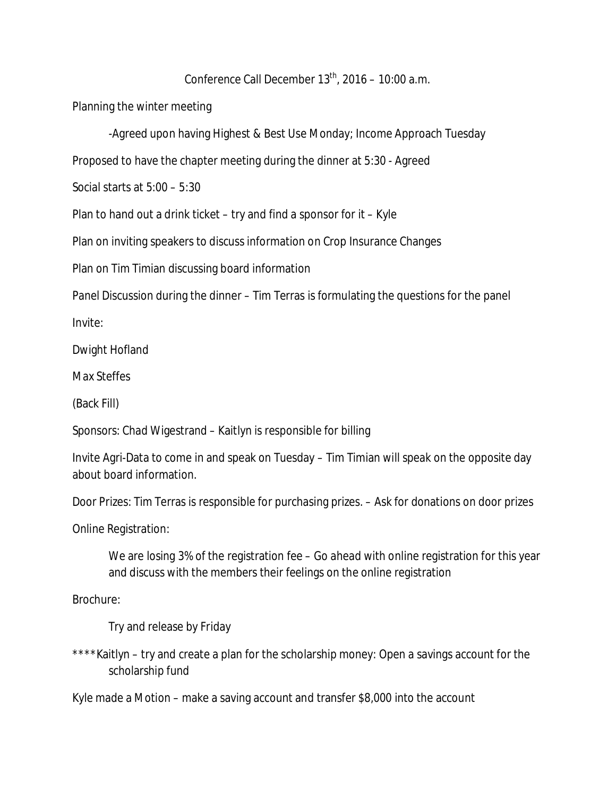## Conference Call December  $13<sup>th</sup>$ , 2016 – 10:00 a.m.

Planning the winter meeting

-Agreed upon having Highest & Best Use Monday; Income Approach Tuesday

Proposed to have the chapter meeting during the dinner at 5:30 - Agreed

Social starts at 5:00 – 5:30

Plan to hand out a drink ticket – try and find a sponsor for it – Kyle

Plan on inviting speakers to discuss information on Crop Insurance Changes

Plan on Tim Timian discussing board information

Panel Discussion during the dinner – Tim Terras is formulating the questions for the panel

Invite:

Dwight Hofland

Max Steffes

(Back Fill)

Sponsors: Chad Wigestrand – Kaitlyn is responsible for billing

Invite Agri-Data to come in and speak on Tuesday – Tim Timian will speak on the opposite day about board information.

Door Prizes: Tim Terras is responsible for purchasing prizes. – Ask for donations on door prizes

Online Registration:

We are losing 3% of the registration fee – Go ahead with online registration for this year and discuss with the members their feelings on the online registration

Brochure:

Try and release by Friday

\*\*\*\*Kaitlyn – try and create a plan for the scholarship money: Open a savings account for the scholarship fund

Kyle made a Motion – make a saving account and transfer \$8,000 into the account